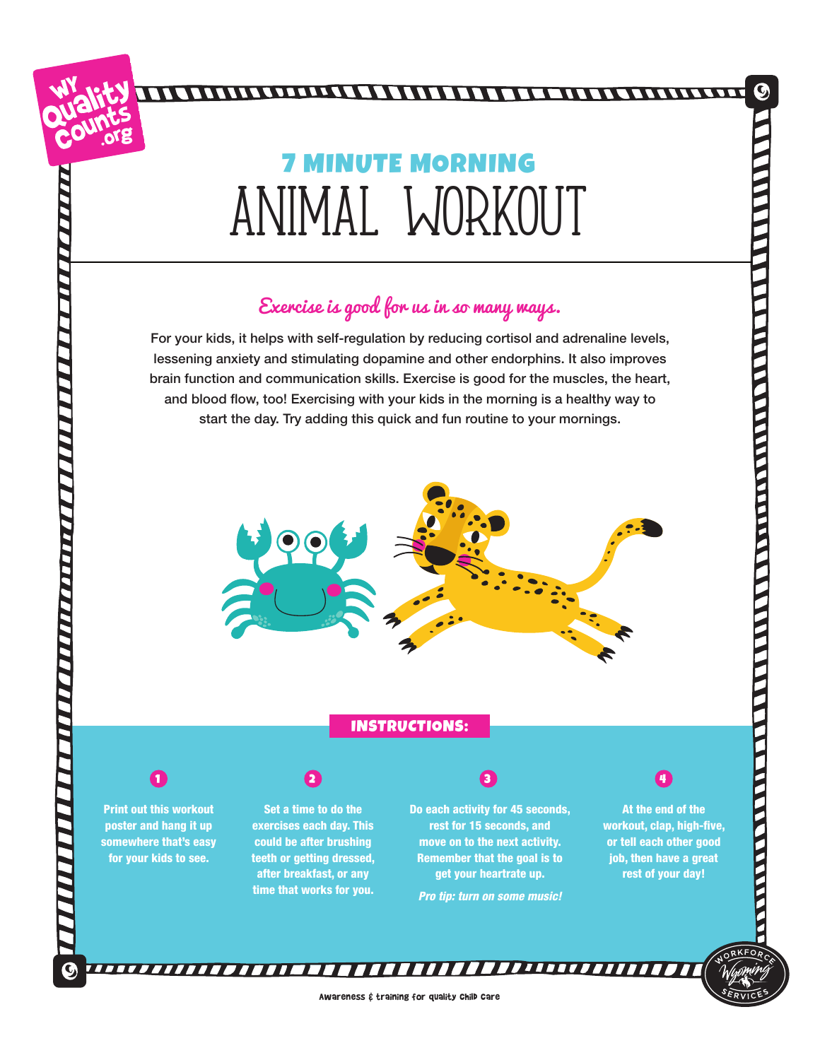## animal workout **MINUTE MORNING**

## Exercise is good for us in so many ways.

For your kids, it helps with self-regulation by reducing cortisol and adrenaline levels, lessening anxiety and stimulating dopamine and other endorphins. It also improves brain function and communication skills. Exercise is good for the muscles, the heart, and blood flow, too! Exercising with your kids in the morning is a healthy way to start the day. Try adding this quick and fun routine to your mornings.



## INSTRUCTIONS:



Print out this workout poster and hang it up somewhere that's easy for your kids to see.

Set a time to do the exercises each day. This could be after brushing teeth or getting dressed,

after breakfast, or any time that works for you.

1 2 3 3 4

Do each activity for 45 seconds, rest for 15 seconds, and move on to the next activity. Remember that the goal is to get your heartrate up. *Pro tip: turn on some music!*



At the end of the workout, clap, high-five, or tell each other good job, then have a great rest of your day!

**CONTRACTOR** 

**TELESCRIPTION** 

Awareness & training for quality Child Care